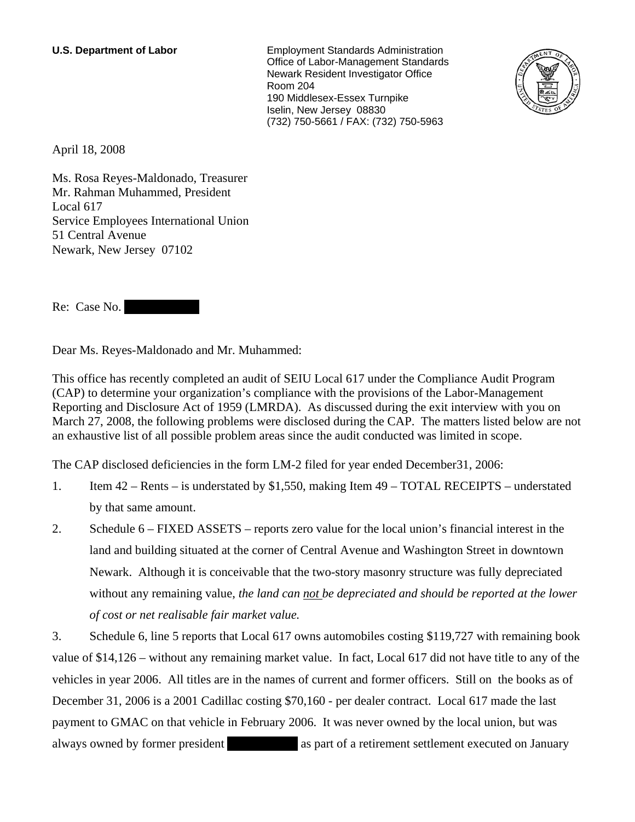**U.S. Department of Labor** Employment Standards Administration Office of Labor-Management Standards Newark Resident Investigator Office Room 204 190 Middlesex-Essex Turnpike Iselin, New Jersey 08830 (732) 750-5661 / FAX: (732) 750-5963



April 18, 2008

Ms. Rosa Reyes-Maldonado, Treasurer Mr. Rahman Muhammed, President Local 617 Service Employees International Union 51 Central Avenue Newark, New Jersey 07102

Re: Case No.

Dear Ms. Reyes-Maldonado and Mr. Muhammed:

This office has recently completed an audit of SEIU Local 617 under the Compliance Audit Program (CAP) to determine your organization's compliance with the provisions of the Labor-Management Reporting and Disclosure Act of 1959 (LMRDA). As discussed during the exit interview with you on March 27, 2008, the following problems were disclosed during the CAP. The matters listed below are not an exhaustive list of all possible problem areas since the audit conducted was limited in scope.

The CAP disclosed deficiencies in the form LM-2 filed for year ended December31, 2006:

- 1. Item 42 Rents is understated by \$1,550, making Item 49 TOTAL RECEIPTS understated by that same amount.
- 2. Schedule 6 FIXED ASSETS reports zero value for the local union's financial interest in the land and building situated at the corner of Central Avenue and Washington Street in downtown Newark. Although it is conceivable that the two-story masonry structure was fully depreciated without any remaining value, *the land can not be depreciated and should be reported at the lower of cost or net realisable fair market value.*

3. Schedule 6, line 5 reports that Local 617 owns automobiles costing \$119,727 with remaining book value of \$14,126 – without any remaining market value. In fact, Local 617 did not have title to any of the vehicles in year 2006. All titles are in the names of current and former officers. Still on the books as of December 31, 2006 is a 2001 Cadillac costing \$70,160 - per dealer contract. Local 617 made the last payment to GMAC on that vehicle in February 2006. It was never owned by the local union, but was always owned by former president and as part of a retirement settlement executed on January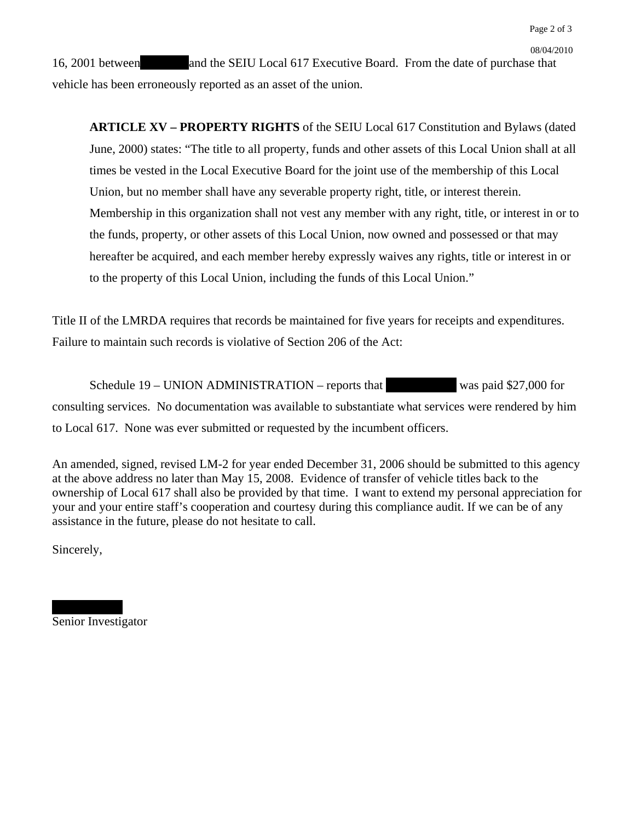16, 2001 between and the SEIU Local 617 Executive Board. From the date of purchase that vehicle has been erroneously reported as an asset of the union.

08/04/2010

**ARTICLE XV – PROPERTY RIGHTS** of the SEIU Local 617 Constitution and Bylaws (dated June, 2000) states: "The title to all property, funds and other assets of this Local Union shall at all times be vested in the Local Executive Board for the joint use of the membership of this Local Union, but no member shall have any severable property right, title, or interest therein. Membership in this organization shall not vest any member with any right, title, or interest in or to the funds, property, or other assets of this Local Union, now owned and possessed or that may hereafter be acquired, and each member hereby expressly waives any rights, title or interest in or to the property of this Local Union, including the funds of this Local Union."

Title II of the LMRDA requires that records be maintained for five years for receipts and expenditures. Failure to maintain such records is violative of Section 206 of the Act:

Schedule  $19$  – UNION ADMINISTRATION – reports that was paid \$27,000 for consulting services. No documentation was available to substantiate what services were rendered by him to Local 617. None was ever submitted or requested by the incumbent officers.

An amended, signed, revised LM-2 for year ended December 31, 2006 should be submitted to this agency at the above address no later than May 15, 2008. Evidence of transfer of vehicle titles back to the ownership of Local 617 shall also be provided by that time. I want to extend my personal appreciation for your and your entire staff's cooperation and courtesy during this compliance audit. If we can be of any assistance in the future, please do not hesitate to call.

Sincerely,

Senior Investigator

|||||||||||||| |||||||||||||